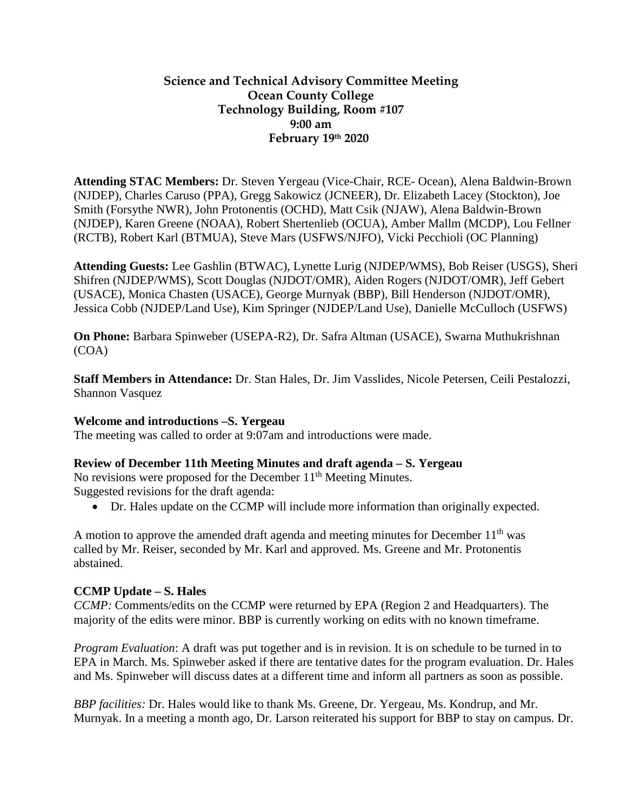### **Science and Technical Advisory Committee Meeting Ocean County College Technology Building, Room #107 9:00 am February 19th 2020**

**Attending STAC Members:** Dr. Steven Yergeau (Vice-Chair, RCE- Ocean), Alena Baldwin-Brown (NJDEP), Charles Caruso (PPA), Gregg Sakowicz (JCNEER), Dr. Elizabeth Lacey (Stockton), Joe Smith (Forsythe NWR), John Protonentis (OCHD), Matt Csik (NJAW), Alena Baldwin-Brown (NJDEP), Karen Greene (NOAA), Robert Shertenlieb (OCUA), Amber Mallm (MCDP), Lou Fellner (RCTB), Robert Karl (BTMUA), Steve Mars (USFWS/NJFO), Vicki Pecchioli (OC Planning)

**Attending Guests:** Lee Gashlin (BTWAC), Lynette Lurig (NJDEP/WMS), Bob Reiser (USGS), Sheri Shifren (NJDEP/WMS), Scott Douglas (NJDOT/OMR), Aiden Rogers (NJDOT/OMR), Jeff Gebert (USACE), Monica Chasten (USACE), George Murnyak (BBP), Bill Henderson (NJDOT/OMR), Jessica Cobb (NJDEP/Land Use), Kim Springer (NJDEP/Land Use), Danielle McCulloch (USFWS)

**On Phone:** Barbara Spinweber (USEPA-R2), Dr. Safra Altman (USACE), Swarna Muthukrishnan (COA)

**Staff Members in Attendance:** Dr. Stan Hales, Dr. Jim Vasslides, Nicole Petersen, Ceili Pestalozzi, Shannon Vasquez

#### **Welcome and introductions –S. Yergeau**

The meeting was called to order at 9:07am and introductions were made.

### **Review of December 11th Meeting Minutes and draft agenda – S. Yergeau**

No revisions were proposed for the December  $11<sup>th</sup>$  Meeting Minutes. Suggested revisions for the draft agenda:

• Dr. Hales update on the CCMP will include more information than originally expected.

A motion to approve the amended draft agenda and meeting minutes for December  $11<sup>th</sup>$  was called by Mr. Reiser, seconded by Mr. Karl and approved. Ms. Greene and Mr. Protonentis abstained.

#### **CCMP Update – S. Hales**

*CCMP:* Comments/edits on the CCMP were returned by EPA (Region 2 and Headquarters). The majority of the edits were minor. BBP is currently working on edits with no known timeframe.

*Program Evaluation*: A draft was put together and is in revision. It is on schedule to be turned in to EPA in March. Ms. Spinweber asked if there are tentative dates for the program evaluation. Dr. Hales and Ms. Spinweber will discuss dates at a different time and inform all partners as soon as possible.

*BBP facilities:* Dr. Hales would like to thank Ms. Greene, Dr. Yergeau, Ms. Kondrup, and Mr. Murnyak. In a meeting a month ago, Dr. Larson reiterated his support for BBP to stay on campus. Dr.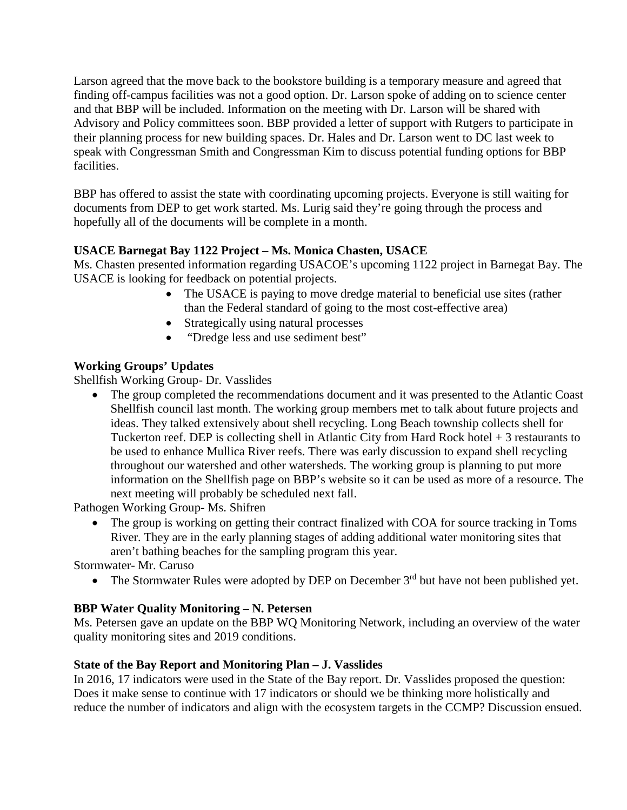Larson agreed that the move back to the bookstore building is a temporary measure and agreed that finding off-campus facilities was not a good option. Dr. Larson spoke of adding on to science center and that BBP will be included. Information on the meeting with Dr. Larson will be shared with Advisory and Policy committees soon. BBP provided a letter of support with Rutgers to participate in their planning process for new building spaces. Dr. Hales and Dr. Larson went to DC last week to speak with Congressman Smith and Congressman Kim to discuss potential funding options for BBP facilities.

BBP has offered to assist the state with coordinating upcoming projects. Everyone is still waiting for documents from DEP to get work started. Ms. Lurig said they're going through the process and hopefully all of the documents will be complete in a month.

# **USACE Barnegat Bay 1122 Project – Ms. Monica Chasten, USACE**

Ms. Chasten presented information regarding USACOE's upcoming 1122 project in Barnegat Bay. The USACE is looking for feedback on potential projects.

- The USACE is paying to move dredge material to beneficial use sites (rather than the Federal standard of going to the most cost-effective area)
- Strategically using natural processes
- "Dredge less and use sediment best"

## **Working Groups' Updates**

Shellfish Working Group- Dr. Vasslides

• The group completed the recommendations document and it was presented to the Atlantic Coast Shellfish council last month. The working group members met to talk about future projects and ideas. They talked extensively about shell recycling. Long Beach township collects shell for Tuckerton reef. DEP is collecting shell in Atlantic City from Hard Rock hotel + 3 restaurants to be used to enhance Mullica River reefs. There was early discussion to expand shell recycling throughout our watershed and other watersheds. The working group is planning to put more information on the Shellfish page on BBP's website so it can be used as more of a resource. The next meeting will probably be scheduled next fall.

Pathogen Working Group- Ms. Shifren

• The group is working on getting their contract finalized with COA for source tracking in Toms River. They are in the early planning stages of adding additional water monitoring sites that aren't bathing beaches for the sampling program this year.

Stormwater- Mr. Caruso

• The Stormwater Rules were adopted by DEP on December  $3<sup>rd</sup>$  but have not been published yet.

### **BBP Water Quality Monitoring – N. Petersen**

Ms. Petersen gave an update on the BBP WQ Monitoring Network, including an overview of the water quality monitoring sites and 2019 conditions.

### **State of the Bay Report and Monitoring Plan – J. Vasslides**

In 2016, 17 indicators were used in the State of the Bay report. Dr. Vasslides proposed the question: Does it make sense to continue with 17 indicators or should we be thinking more holistically and reduce the number of indicators and align with the ecosystem targets in the CCMP? Discussion ensued.